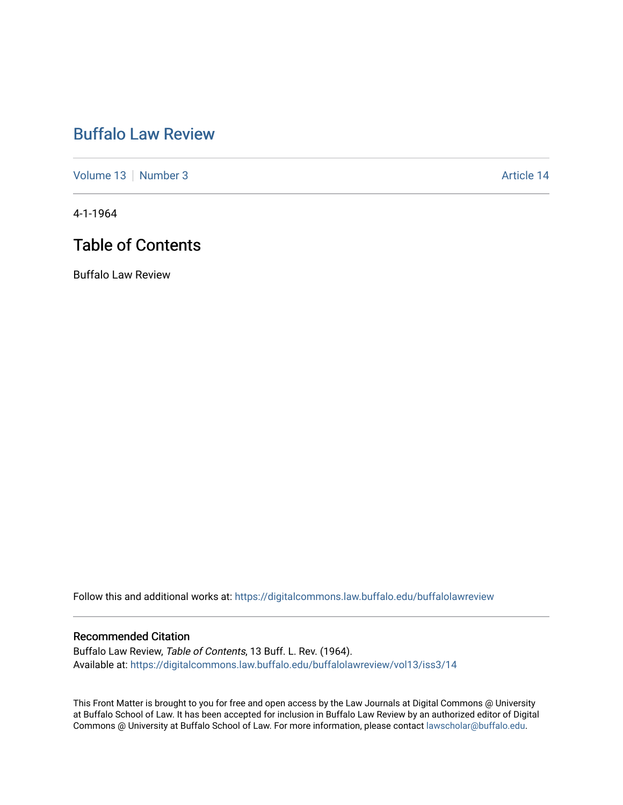## [Buffalo Law Review](https://digitalcommons.law.buffalo.edu/buffalolawreview)

[Volume 13](https://digitalcommons.law.buffalo.edu/buffalolawreview/vol13) [Number 3](https://digitalcommons.law.buffalo.edu/buffalolawreview/vol13/iss3) Article 14

4-1-1964

## Table of Contents

Buffalo Law Review

Follow this and additional works at: [https://digitalcommons.law.buffalo.edu/buffalolawreview](https://digitalcommons.law.buffalo.edu/buffalolawreview?utm_source=digitalcommons.law.buffalo.edu%2Fbuffalolawreview%2Fvol13%2Fiss3%2F14&utm_medium=PDF&utm_campaign=PDFCoverPages) 

#### Recommended Citation

Buffalo Law Review, Table of Contents, 13 Buff. L. Rev. (1964). Available at: [https://digitalcommons.law.buffalo.edu/buffalolawreview/vol13/iss3/14](https://digitalcommons.law.buffalo.edu/buffalolawreview/vol13/iss3/14?utm_source=digitalcommons.law.buffalo.edu%2Fbuffalolawreview%2Fvol13%2Fiss3%2F14&utm_medium=PDF&utm_campaign=PDFCoverPages)

This Front Matter is brought to you for free and open access by the Law Journals at Digital Commons @ University at Buffalo School of Law. It has been accepted for inclusion in Buffalo Law Review by an authorized editor of Digital Commons @ University at Buffalo School of Law. For more information, please contact [lawscholar@buffalo.edu](mailto:lawscholar@buffalo.edu).